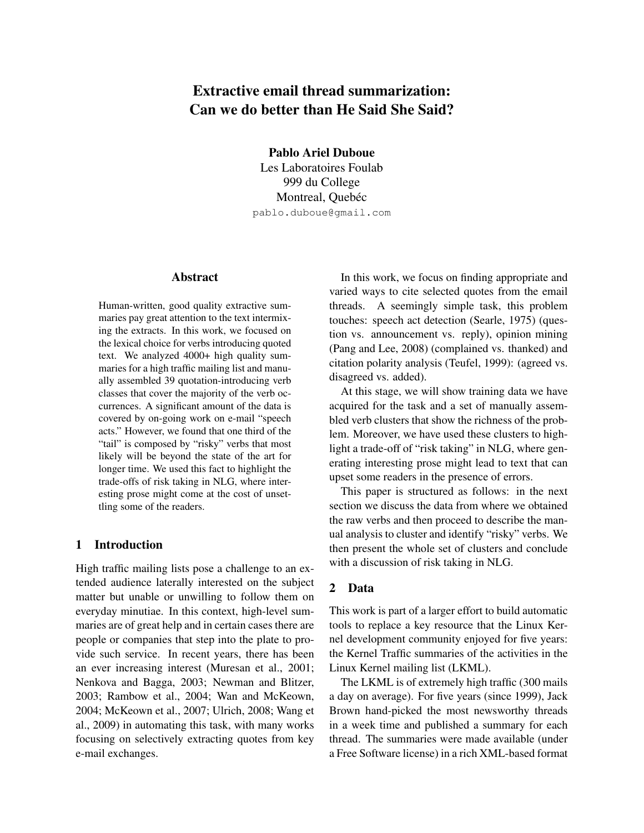# Extractive email thread summarization: Can we do better than He Said She Said?

Pablo Ariel Duboue Les Laboratoires Foulab

999 du College Montreal, Quebéc pablo.duboue@gmail.com

## Abstract

Human-written, good quality extractive summaries pay great attention to the text intermixing the extracts. In this work, we focused on the lexical choice for verbs introducing quoted text. We analyzed 4000+ high quality summaries for a high traffic mailing list and manually assembled 39 quotation-introducing verb classes that cover the majority of the verb occurrences. A significant amount of the data is covered by on-going work on e-mail "speech acts." However, we found that one third of the "tail" is composed by "risky" verbs that most likely will be beyond the state of the art for longer time. We used this fact to highlight the trade-offs of risk taking in NLG, where interesting prose might come at the cost of unsettling some of the readers.

# 1 Introduction

High traffic mailing lists pose a challenge to an extended audience laterally interested on the subject matter but unable or unwilling to follow them on everyday minutiae. In this context, high-level summaries are of great help and in certain cases there are people or companies that step into the plate to provide such service. In recent years, there has been an ever increasing interest (Muresan et al., 2001; Nenkova and Bagga, 2003; Newman and Blitzer, 2003; Rambow et al., 2004; Wan and McKeown, 2004; McKeown et al., 2007; Ulrich, 2008; Wang et al., 2009) in automating this task, with many works focusing on selectively extracting quotes from key e-mail exchanges.

In this work, we focus on finding appropriate and varied ways to cite selected quotes from the email threads. A seemingly simple task, this problem touches: speech act detection (Searle, 1975) (question vs. announcement vs. reply), opinion mining (Pang and Lee, 2008) (complained vs. thanked) and citation polarity analysis (Teufel, 1999): (agreed vs. disagreed vs. added).

At this stage, we will show training data we have acquired for the task and a set of manually assembled verb clusters that show the richness of the problem. Moreover, we have used these clusters to highlight a trade-off of "risk taking" in NLG, where generating interesting prose might lead to text that can upset some readers in the presence of errors.

This paper is structured as follows: in the next section we discuss the data from where we obtained the raw verbs and then proceed to describe the manual analysis to cluster and identify "risky" verbs. We then present the whole set of clusters and conclude with a discussion of risk taking in NLG.

# 2 Data

This work is part of a larger effort to build automatic tools to replace a key resource that the Linux Kernel development community enjoyed for five years: the Kernel Traffic summaries of the activities in the Linux Kernel mailing list (LKML).

The LKML is of extremely high traffic (300 mails a day on average). For five years (since 1999), Jack Brown hand-picked the most newsworthy threads in a week time and published a summary for each thread. The summaries were made available (under a Free Software license) in a rich XML-based format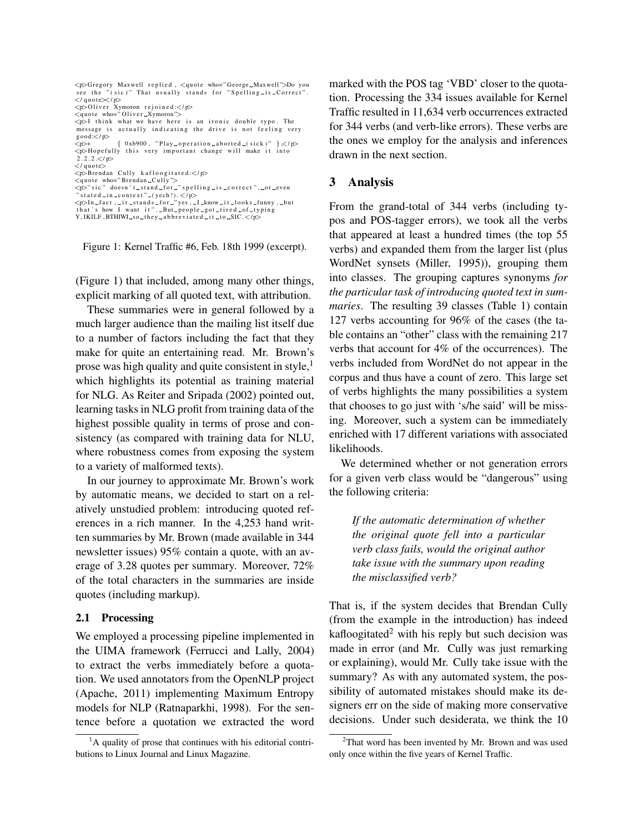| <p>Gregory Maxwell replied, <quote who="George_Maxwell">Do you<br/>see the "(sic)" That usually stands for "Spelling-is-Correct".</quote></p> |  |  |  |  |  |  |  |
|-----------------------------------------------------------------------------------------------------------------------------------------------|--|--|--|--|--|--|--|
|                                                                                                                                               |  |  |  |  |  |  |  |
| $\langle$ /quote $\langle$ /p $\rangle$                                                                                                       |  |  |  |  |  |  |  |
| $\langle p\rangle$ Oliver Xymoron rejoined: $\langle p\rangle$                                                                                |  |  |  |  |  |  |  |
| $\leq$ quote who="Oliver_Xymoron">                                                                                                            |  |  |  |  |  |  |  |
| $\langle p\rangle$ I think what we have here is an ironic double typo. The                                                                    |  |  |  |  |  |  |  |
| message is actually indicating the drive is not feeling very<br>good:                                                                         |  |  |  |  |  |  |  |
| $\{ 0xb900,$ "Play operation aborted (sick)" $\} \lt \ p$<br>$p$ +                                                                            |  |  |  |  |  |  |  |
| <p>Hopefully this very important change will make it into</p>                                                                                 |  |  |  |  |  |  |  |
| 2.2.2 < p                                                                                                                                     |  |  |  |  |  |  |  |
| $\langle$ /quote $\rangle$                                                                                                                    |  |  |  |  |  |  |  |
| $\langle p\rangle$ Brendan Cully kafloogitated: $\langle p\rangle$                                                                            |  |  |  |  |  |  |  |
| $\leq$ quote who="Brendan $\subset$ Cully" $>$                                                                                                |  |  |  |  |  |  |  |
| <p>"sic" doesn't_stand_for_"spelling_is_correct",_or_even</p>                                                                                 |  |  |  |  |  |  |  |
| " stated $\sin \arccos t$ " $\arccos t$ " $\arccos t$ (yech!). $\lt$ /p>                                                                      |  |  |  |  |  |  |  |
| $p>In$ $_{-}$ fact, $_{-}$ it $_{-}$ stands $_{-}$ for $_{-}$ "yes, $_{-}$ I $_{-}$ know $_{-}$ it $_{-}$ looks $_{-}$ funny, $_{-}$ but      |  |  |  |  |  |  |  |
| that's how I want it". But people got tired of typing                                                                                         |  |  |  |  |  |  |  |
| Y, IKILF, BTHIWL_so_they_abbreviated_it_to_SIC. $<$ /p>                                                                                       |  |  |  |  |  |  |  |

Figure 1: Kernel Traffic #6, Feb. 18th 1999 (excerpt).

(Figure 1) that included, among many other things, explicit marking of all quoted text, with attribution.

These summaries were in general followed by a much larger audience than the mailing list itself due to a number of factors including the fact that they make for quite an entertaining read. Mr. Brown's prose was high quality and quite consistent in style, $<sup>1</sup>$ </sup> which highlights its potential as training material for NLG. As Reiter and Sripada (2002) pointed out, learning tasks in NLG profit from training data of the highest possible quality in terms of prose and consistency (as compared with training data for NLU, where robustness comes from exposing the system to a variety of malformed texts).

In our journey to approximate Mr. Brown's work by automatic means, we decided to start on a relatively unstudied problem: introducing quoted references in a rich manner. In the 4,253 hand written summaries by Mr. Brown (made available in 344 newsletter issues) 95% contain a quote, with an average of 3.28 quotes per summary. Moreover, 72% of the total characters in the summaries are inside quotes (including markup).

### 2.1 Processing

We employed a processing pipeline implemented in the UIMA framework (Ferrucci and Lally, 2004) to extract the verbs immediately before a quotation. We used annotators from the OpenNLP project (Apache, 2011) implementing Maximum Entropy models for NLP (Ratnaparkhi, 1998). For the sentence before a quotation we extracted the word marked with the POS tag 'VBD' closer to the quotation. Processing the 334 issues available for Kernel Traffic resulted in 11,634 verb occurrences extracted for 344 verbs (and verb-like errors). These verbs are the ones we employ for the analysis and inferences drawn in the next section.

## 3 Analysis

From the grand-total of 344 verbs (including typos and POS-tagger errors), we took all the verbs that appeared at least a hundred times (the top 55 verbs) and expanded them from the larger list (plus WordNet synsets (Miller, 1995)), grouping them into classes. The grouping captures synonyms *for the particular task of introducing quoted text in summaries*. The resulting 39 classes (Table 1) contain 127 verbs accounting for 96% of the cases (the table contains an "other" class with the remaining 217 verbs that account for 4% of the occurrences). The verbs included from WordNet do not appear in the corpus and thus have a count of zero. This large set of verbs highlights the many possibilities a system that chooses to go just with 's/he said' will be missing. Moreover, such a system can be immediately enriched with 17 different variations with associated likelihoods.

We determined whether or not generation errors for a given verb class would be "dangerous" using the following criteria:

*If the automatic determination of whether the original quote fell into a particular verb class fails, would the original author take issue with the summary upon reading the misclassified verb?*

That is, if the system decides that Brendan Cully (from the example in the introduction) has indeed kafloogitated<sup>2</sup> with his reply but such decision was made in error (and Mr. Cully was just remarking or explaining), would Mr. Cully take issue with the summary? As with any automated system, the possibility of automated mistakes should make its designers err on the side of making more conservative decisions. Under such desiderata, we think the 10

 ${}^{1}$ A quality of prose that continues with his editorial contributions to Linux Journal and Linux Magazine.

 $2$ That word has been invented by Mr. Brown and was used only once within the five years of Kernel Traffic.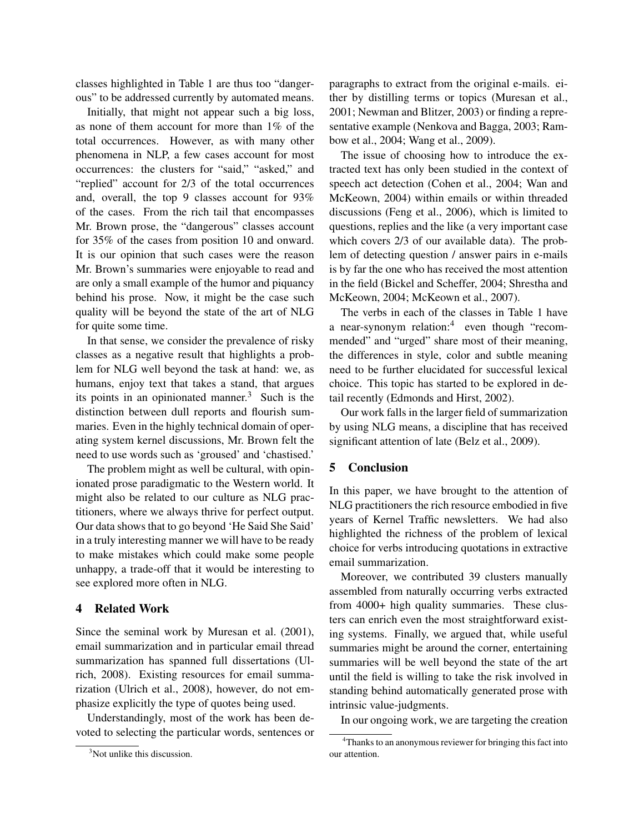classes highlighted in Table 1 are thus too "dangerous" to be addressed currently by automated means.

Initially, that might not appear such a big loss, as none of them account for more than 1% of the total occurrences. However, as with many other phenomena in NLP, a few cases account for most occurrences: the clusters for "said," "asked," and "replied" account for 2/3 of the total occurrences and, overall, the top 9 classes account for 93% of the cases. From the rich tail that encompasses Mr. Brown prose, the "dangerous" classes account for 35% of the cases from position 10 and onward. It is our opinion that such cases were the reason Mr. Brown's summaries were enjoyable to read and are only a small example of the humor and piquancy behind his prose. Now, it might be the case such quality will be beyond the state of the art of NLG for quite some time.

In that sense, we consider the prevalence of risky classes as a negative result that highlights a problem for NLG well beyond the task at hand: we, as humans, enjoy text that takes a stand, that argues its points in an opinionated manner. $3$  Such is the distinction between dull reports and flourish summaries. Even in the highly technical domain of operating system kernel discussions, Mr. Brown felt the need to use words such as 'groused' and 'chastised.'

The problem might as well be cultural, with opinionated prose paradigmatic to the Western world. It might also be related to our culture as NLG practitioners, where we always thrive for perfect output. Our data shows that to go beyond 'He Said She Said' in a truly interesting manner we will have to be ready to make mistakes which could make some people unhappy, a trade-off that it would be interesting to see explored more often in NLG.

## 4 Related Work

Since the seminal work by Muresan et al. (2001), email summarization and in particular email thread summarization has spanned full dissertations (Ulrich, 2008). Existing resources for email summarization (Ulrich et al., 2008), however, do not emphasize explicitly the type of quotes being used.

Understandingly, most of the work has been devoted to selecting the particular words, sentences or paragraphs to extract from the original e-mails. either by distilling terms or topics (Muresan et al., 2001; Newman and Blitzer, 2003) or finding a representative example (Nenkova and Bagga, 2003; Rambow et al., 2004; Wang et al., 2009).

The issue of choosing how to introduce the extracted text has only been studied in the context of speech act detection (Cohen et al., 2004; Wan and McKeown, 2004) within emails or within threaded discussions (Feng et al., 2006), which is limited to questions, replies and the like (a very important case which covers 2/3 of our available data). The problem of detecting question / answer pairs in e-mails is by far the one who has received the most attention in the field (Bickel and Scheffer, 2004; Shrestha and McKeown, 2004; McKeown et al., 2007).

The verbs in each of the classes in Table 1 have a near-synonym relation:<sup>4</sup> even though "recommended" and "urged" share most of their meaning, the differences in style, color and subtle meaning need to be further elucidated for successful lexical choice. This topic has started to be explored in detail recently (Edmonds and Hirst, 2002).

Our work falls in the larger field of summarization by using NLG means, a discipline that has received significant attention of late (Belz et al., 2009).

# 5 Conclusion

In this paper, we have brought to the attention of NLG practitioners the rich resource embodied in five years of Kernel Traffic newsletters. We had also highlighted the richness of the problem of lexical choice for verbs introducing quotations in extractive email summarization.

Moreover, we contributed 39 clusters manually assembled from naturally occurring verbs extracted from 4000+ high quality summaries. These clusters can enrich even the most straightforward existing systems. Finally, we argued that, while useful summaries might be around the corner, entertaining summaries will be well beyond the state of the art until the field is willing to take the risk involved in standing behind automatically generated prose with intrinsic value-judgments.

In our ongoing work, we are targeting the creation

<sup>&</sup>lt;sup>3</sup>Not unlike this discussion.

<sup>&</sup>lt;sup>4</sup>Thanks to an anonymous reviewer for bringing this fact into our attention.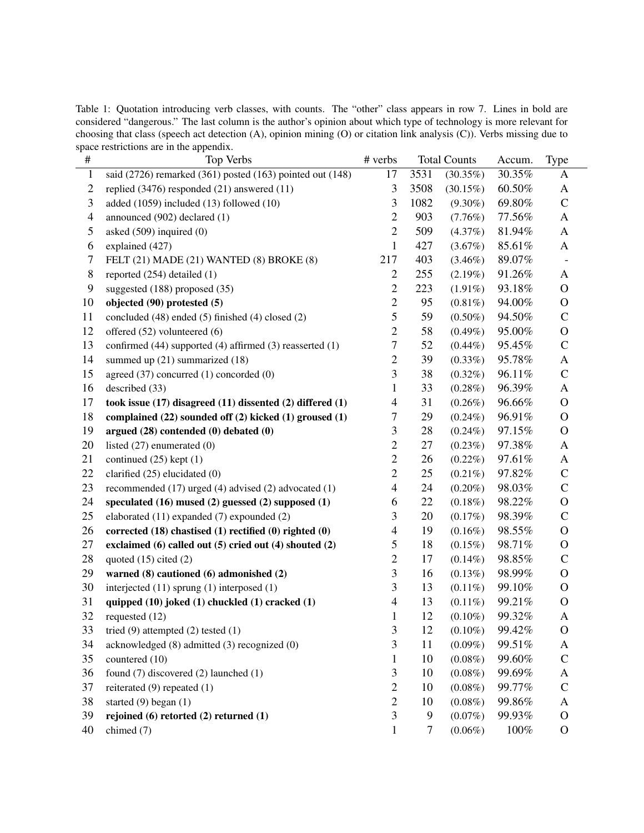Table 1: Quotation introducing verb classes, with counts. The "other" class appears in row 7. Lines in bold are considered "dangerous." The last column is the author's opinion about which type of technology is more relevant for choosing that class (speech act detection (A), opinion mining (O) or citation link analysis (C)). Verbs missing due to space restrictions are in the appendix.

| $\#$           | Top Verbs                                                         | # verbs                 | <b>Total Counts</b> |             | Accum. | <b>Type</b>   |
|----------------|-------------------------------------------------------------------|-------------------------|---------------------|-------------|--------|---------------|
| $\,1$          | said (2726) remarked (361) posted (163) pointed out (148)         | 17                      | 3531                | $(30.35\%)$ | 30.35% | A             |
| $\overline{c}$ | replied (3476) responded (21) answered (11)                       | 3                       | 3508                | $(30.15\%)$ | 60.50% | A             |
| 3              | added (1059) included (13) followed (10)                          | 3                       | 1082                | $(9.30\%)$  | 69.80% | $\mathbf C$   |
| $\overline{4}$ | announced (902) declared (1)                                      | $\mathbf{2}$            | 903                 | (7.76%)     | 77.56% | A             |
| 5              | asked $(509)$ inquired $(0)$                                      | $\mathfrak{2}$          | 509                 | (4.37%)     | 81.94% | A             |
| 6              | explained (427)                                                   | $\mathbf{1}$            | 427                 | $(3.67\%)$  | 85.61% | $\mathbf{A}$  |
| 7              | FELT (21) MADE (21) WANTED (8) BROKE (8)                          | 217                     | 403                 | $(3.46\%)$  | 89.07% |               |
| 8              | reported (254) detailed (1)                                       | $\mathbf{2}$            | 255                 | $(2.19\%)$  | 91.26% | $\mathbf{A}$  |
| 9              | suggested (188) proposed (35)                                     | $\mathbf{2}$            | 223                 | $(1.91\%)$  | 93.18% | $\mathbf{O}$  |
| 10             | objected (90) protested (5)                                       | $\overline{c}$          | 95                  | $(0.81\%)$  | 94.00% | $\mathbf O$   |
| 11             | concluded (48) ended (5) finished (4) closed (2)                  | 5                       | 59                  | $(0.50\%)$  | 94.50% | $\mathsf{C}$  |
| 12             | offered (52) volunteered (6)                                      | $\overline{2}$          | 58                  | $(0.49\%)$  | 95.00% | $\mathbf O$   |
| 13             | confirmed (44) supported (4) affirmed (3) reasserted (1)          | 7                       | 52                  | $(0.44\%)$  | 95.45% | $\mathsf{C}$  |
| 14             | summed up $(21)$ summarized $(18)$                                | $\overline{c}$          | 39                  | $(0.33\%)$  | 95.78% | A             |
| 15             | agreed (37) concurred (1) concorded (0)                           | 3                       | 38                  | $(0.32\%)$  | 96.11% | $\mathbf C$   |
| 16             | described (33)                                                    | $\mathbf{1}$            | 33                  | $(0.28\%)$  | 96.39% | A             |
| 17             | took issue $(17)$ disagreed $(11)$ dissented $(2)$ differed $(1)$ | 4                       | 31                  | $(0.26\%)$  | 96.66% | $\mathbf{O}$  |
| 18             | complained (22) sounded off (2) kicked (1) groused (1)            | $\overline{7}$          | 29                  | $(0.24\%)$  | 96.91% | $\mathbf O$   |
| 19             | argued $(28)$ contended $(0)$ debated $(0)$                       | $\overline{\mathbf{3}}$ | 28                  | $(0.24\%)$  | 97.15% | $\mathbf O$   |
| 20             | listed $(27)$ enumerated $(0)$                                    | $\mathbf{2}$            | 27                  | $(0.23\%)$  | 97.38% | A             |
| 21             | continued $(25)$ kept $(1)$                                       | $\mathfrak{2}$          | 26                  | $(0.22\%)$  | 97.61% | A             |
| 22             | clarified $(25)$ elucidated $(0)$                                 | $\overline{2}$          | 25                  | $(0.21\%)$  | 97.82% | $\mathsf{C}$  |
| 23             | recommended (17) urged (4) advised (2) advocated (1)              | $\overline{\mathbf{4}}$ | 24                  | $(0.20\%)$  | 98.03% | $\mathsf{C}$  |
| 24             | speculated (16) mused (2) guessed (2) supposed (1)                | 6                       | 22                  | $(0.18\%)$  | 98.22% | $\mathcal{O}$ |
| 25             | elaborated (11) expanded (7) expounded (2)                        | 3                       | 20                  | (0.17%)     | 98.39% | $\mathbf C$   |
| 26             | corrected (18) chastised (1) rectified (0) righted (0)            | 4                       | 19                  | $(0.16\%)$  | 98.55% | $\mathbf{O}$  |
| 27             | exclaimed (6) called out (5) cried out (4) shouted (2)            | 5                       | 18                  | $(0.15\%)$  | 98.71% | $\mathbf O$   |
| 28             | quoted $(15)$ cited $(2)$                                         | $\overline{2}$          | 17                  | $(0.14\%)$  | 98.85% | $\mathsf{C}$  |
| 29             | warned (8) cautioned (6) admonished (2)                           | 3                       | 16                  | $(0.13\%)$  | 98.99% | $\mathbf O$   |
| 30             | interjected (11) sprung (1) interposed (1)                        | $\overline{\mathbf{3}}$ | 13                  | $(0.11\%)$  | 99.10% | $\mathbf O$   |
| 31             | quipped (10) joked (1) chuckled (1) cracked (1)                   | $\overline{\mathbf{4}}$ | 13                  | $(0.11\%)$  | 99.21% | $\mathbf{O}$  |
| 32             | requested (12)                                                    | $\mathbf{1}$            | 12                  | $(0.10\%)$  | 99.32% | A             |
| 33             | tried $(9)$ attempted $(2)$ tested $(1)$                          | $\mathfrak{Z}$          | 12                  | $(0.10\%)$  | 99.42% | $\mathbf O$   |
| 34             | acknowledged (8) admitted (3) recognized (0)                      | $\mathfrak{Z}$          | 11                  | $(0.09\%)$  | 99.51% | A             |
| 35             | countered (10)                                                    | $\mathbf{1}$            | 10                  | $(0.08\%)$  | 99.60% | $\mathsf{C}$  |
| 36             | found (7) discovered (2) launched (1)                             | $\mathfrak{Z}$          | 10                  | $(0.08\%)$  | 99.69% | A             |
| 37             | reiterated $(9)$ repeated $(1)$                                   | $\mathfrak{2}$          | 10                  | $(0.08\%)$  | 99.77% | $\mathbf C$   |
| 38             | started $(9)$ began $(1)$                                         | $\mathfrak{2}$          | 10                  | $(0.08\%)$  | 99.86% | A             |
| 39             | rejoined $(6)$ retorted $(2)$ returned $(1)$                      | $\mathfrak{Z}$          | 9                   | $(0.07\%)$  | 99.93% | $\mathbf{O}$  |
| 40             | chimed (7)                                                        | $\mathbf{1}$            | 7                   | $(0.06\%)$  | 100%   | $\mathbf O$   |